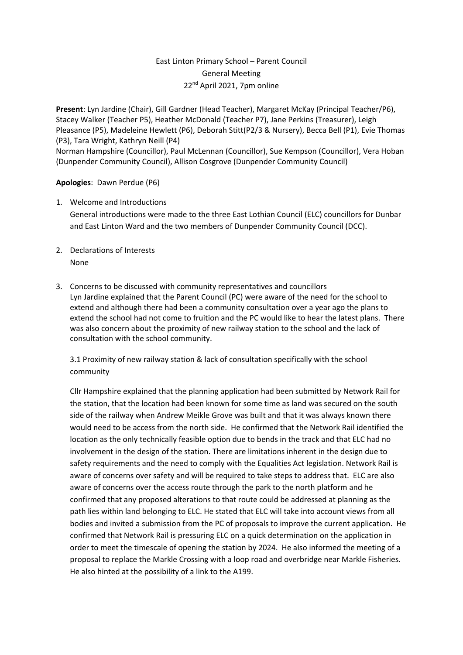# East Linton Primary School – Parent Council General Meeting 22nd April 2021, 7pm online

**Present**: Lyn Jardine (Chair), Gill Gardner (Head Teacher), Margaret McKay (Principal Teacher/P6), Stacey Walker (Teacher P5), Heather McDonald (Teacher P7), Jane Perkins (Treasurer), Leigh Pleasance (P5), Madeleine Hewlett (P6), Deborah Stitt(P2/3 & Nursery), Becca Bell (P1), Evie Thomas (P3), Tara Wright, Kathryn Neill (P4) Norman Hampshire (Councillor), Paul McLennan (Councillor), Sue Kempson (Councillor), Vera Hoban (Dunpender Community Council), Allison Cosgrove (Dunpender Community Council)

## **Apologies**: Dawn Perdue (P6)

- 1. Welcome and Introductions General introductions were made to the three East Lothian Council (ELC) councillors for Dunbar and East Linton Ward and the two members of Dunpender Community Council (DCC).
- 2. Declarations of Interests None
- 3. Concerns to be discussed with community representatives and councillors Lyn Jardine explained that the Parent Council (PC) were aware of the need for the school to extend and although there had been a community consultation over a year ago the plans to extend the school had not come to fruition and the PC would like to hear the latest plans. There was also concern about the proximity of new railway station to the school and the lack of consultation with the school community.

3.1 Proximity of new railway station & lack of consultation specifically with the school community

Cllr Hampshire explained that the planning application had been submitted by Network Rail for the station, that the location had been known for some time as land was secured on the south side of the railway when Andrew Meikle Grove was built and that it was always known there would need to be access from the north side. He confirmed that the Network Rail identified the location as the only technically feasible option due to bends in the track and that ELC had no involvement in the design of the station. There are limitations inherent in the design due to safety requirements and the need to comply with the Equalities Act legislation. Network Rail is aware of concerns over safety and will be required to take steps to address that. ELC are also aware of concerns over the access route through the park to the north platform and he confirmed that any proposed alterations to that route could be addressed at planning as the path lies within land belonging to ELC. He stated that ELC will take into account views from all bodies and invited a submission from the PC of proposals to improve the current application. He confirmed that Network Rail is pressuring ELC on a quick determination on the application in order to meet the timescale of opening the station by 2024. He also informed the meeting of a proposal to replace the Markle Crossing with a loop road and overbridge near Markle Fisheries. He also hinted at the possibility of a link to the A199.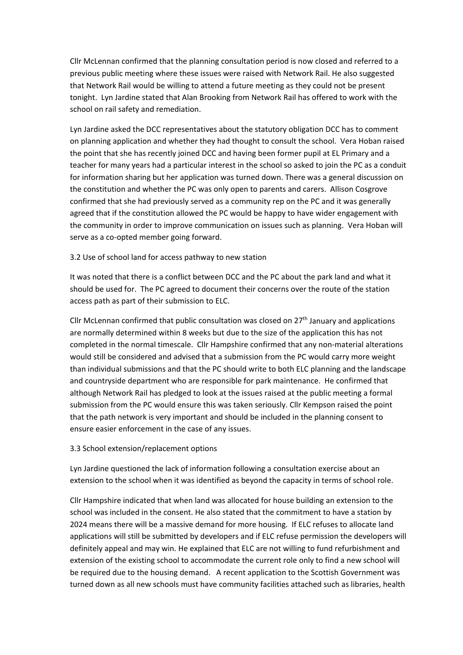Cllr McLennan confirmed that the planning consultation period is now closed and referred to a previous public meeting where these issues were raised with Network Rail. He also suggested that Network Rail would be willing to attend a future meeting as they could not be present tonight. Lyn Jardine stated that Alan Brooking from Network Rail has offered to work with the school on rail safety and remediation.

Lyn Jardine asked the DCC representatives about the statutory obligation DCC has to comment on planning application and whether they had thought to consult the school. Vera Hoban raised the point that she has recently joined DCC and having been former pupil at EL Primary and a teacher for many years had a particular interest in the school so asked to join the PC as a conduit for information sharing but her application was turned down. There was a general discussion on the constitution and whether the PC was only open to parents and carers. Allison Cosgrove confirmed that she had previously served as a community rep on the PC and it was generally agreed that if the constitution allowed the PC would be happy to have wider engagement with the community in order to improve communication on issues such as planning. Vera Hoban will serve as a co-opted member going forward.

## 3.2 Use of school land for access pathway to new station

It was noted that there is a conflict between DCC and the PC about the park land and what it should be used for. The PC agreed to document their concerns over the route of the station access path as part of their submission to ELC.

Cllr McLennan confirmed that public consultation was closed on  $27<sup>th</sup>$  January and applications are normally determined within 8 weeks but due to the size of the application this has not completed in the normal timescale. Cllr Hampshire confirmed that any non-material alterations would still be considered and advised that a submission from the PC would carry more weight than individual submissions and that the PC should write to both ELC planning and the landscape and countryside department who are responsible for park maintenance. He confirmed that although Network Rail has pledged to look at the issues raised at the public meeting a formal submission from the PC would ensure this was taken seriously. Cllr Kempson raised the point that the path network is very important and should be included in the planning consent to ensure easier enforcement in the case of any issues.

## 3.3 School extension/replacement options

Lyn Jardine questioned the lack of information following a consultation exercise about an extension to the school when it was identified as beyond the capacity in terms of school role.

Cllr Hampshire indicated that when land was allocated for house building an extension to the school was included in the consent. He also stated that the commitment to have a station by 2024 means there will be a massive demand for more housing. If ELC refuses to allocate land applications will still be submitted by developers and if ELC refuse permission the developers will definitely appeal and may win. He explained that ELC are not willing to fund refurbishment and extension of the existing school to accommodate the current role only to find a new school will be required due to the housing demand. A recent application to the Scottish Government was turned down as all new schools must have community facilities attached such as libraries, health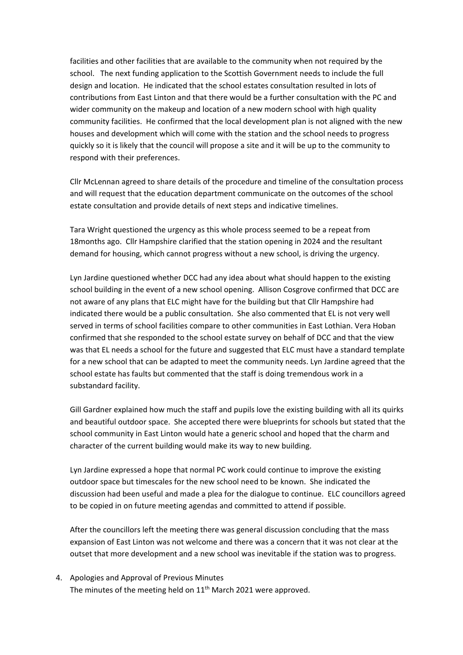facilities and other facilities that are available to the community when not required by the school. The next funding application to the Scottish Government needs to include the full design and location. He indicated that the school estates consultation resulted in lots of contributions from East Linton and that there would be a further consultation with the PC and wider community on the makeup and location of a new modern school with high quality community facilities. He confirmed that the local development plan is not aligned with the new houses and development which will come with the station and the school needs to progress quickly so it is likely that the council will propose a site and it will be up to the community to respond with their preferences.

Cllr McLennan agreed to share details of the procedure and timeline of the consultation process and will request that the education department communicate on the outcomes of the school estate consultation and provide details of next steps and indicative timelines.

Tara Wright questioned the urgency as this whole process seemed to be a repeat from 18months ago. Cllr Hampshire clarified that the station opening in 2024 and the resultant demand for housing, which cannot progress without a new school, is driving the urgency.

Lyn Jardine questioned whether DCC had any idea about what should happen to the existing school building in the event of a new school opening. Allison Cosgrove confirmed that DCC are not aware of any plans that ELC might have for the building but that Cllr Hampshire had indicated there would be a public consultation. She also commented that EL is not very well served in terms of school facilities compare to other communities in East Lothian. Vera Hoban confirmed that she responded to the school estate survey on behalf of DCC and that the view was that EL needs a school for the future and suggested that ELC must have a standard template for a new school that can be adapted to meet the community needs. Lyn Jardine agreed that the school estate has faults but commented that the staff is doing tremendous work in a substandard facility.

Gill Gardner explained how much the staff and pupils love the existing building with all its quirks and beautiful outdoor space. She accepted there were blueprints for schools but stated that the school community in East Linton would hate a generic school and hoped that the charm and character of the current building would make its way to new building.

Lyn Jardine expressed a hope that normal PC work could continue to improve the existing outdoor space but timescales for the new school need to be known. She indicated the discussion had been useful and made a plea for the dialogue to continue. ELC councillors agreed to be copied in on future meeting agendas and committed to attend if possible.

After the councillors left the meeting there was general discussion concluding that the mass expansion of East Linton was not welcome and there was a concern that it was not clear at the outset that more development and a new school was inevitable if the station was to progress.

4. Apologies and Approval of Previous Minutes The minutes of the meeting held on 11<sup>th</sup> March 2021 were approved.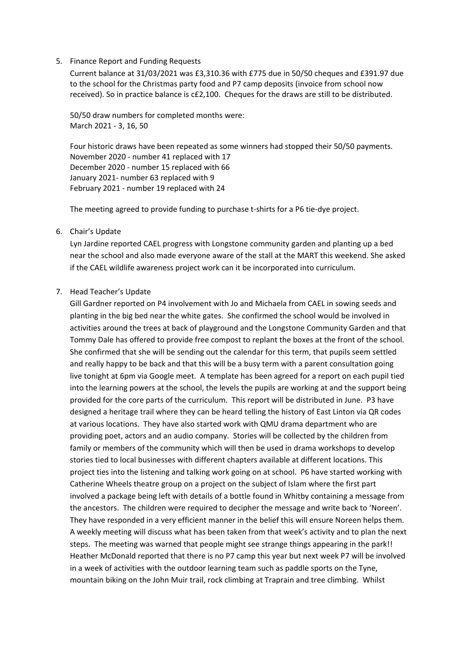#### 5. Finance Report and Funding Requests

Current balance at 31/03/2021 was £3,310.36 with £775 due in 50/50 cheques and £391.97 due to the school for the Christmas party food and P7 camp deposits (invoice from school now received). So in practice balance is c£2,100. Cheques for the draws are still to be distributed.

50/50 draw numbers for completed months were: March 2021 - 3, 16, 50

Four historic draws have been repeated as some winners had stopped their 50/50 payments. November 2020 - number 41 replaced with 17 December 2020 - number 15 replaced with 66 January 2021- number 63 replaced with 9 February 2021 - number 19 replaced with 24

The meeting agreed to provide funding to purchase t-shirts for a P6 tie-dye project.

## 6. Chair's Update

Lyn Jardine reported CAEL progress with Longstone community garden and planting up a bed near the school and also made everyone aware of the stall at the MART this weekend. She asked if the CAEL wildlife awareness project work can it be incorporated into curriculum.

#### 7. Head Teacher's Update

Gill Gardner reported on P4 involvement with Jo and Michaela from CAEL in sowing seeds and planting in the big bed near the white gates. She confirmed the school would be involved in activities around the trees at back of playground and the Longstone Community Garden and that Tommy Dale has offered to provide free compost to replant the boxes at the front of the school. She confirmed that she will be sending out the calendar for this term, that pupils seem settled and really happy to be back and that this will be a busy term with a parent consultation going live tonight at 6pm via Google meet. A template has been agreed for a report on each pupil tied into the learning powers at the school, the levels the pupils are working at and the support being provided for the core parts of the curriculum. This report will be distributed in June. P3 have designed a heritage trail where they can be heard telling the history of East Linton via QR codes at various locations. They have also started work with QMU drama department who are providing poet, actors and an audio company. Stories will be collected by the children from family or members of the community which will then be used in drama workshops to develop stories tied to local businesses with different chapters available at different locations. This project ties into the listening and talking work going on at school. P6 have started working with Catherine Wheels theatre group on a project on the subject of Islam where the first part involved a package being left with details of a bottle found in Whitby containing a message from the ancestors. The children were required to decipher the message and write back to 'Noreen'. They have responded in a very efficient manner in the belief this will ensure Noreen helps them. A weekly meeting will discuss what has been taken from that week's activity and to plan the next steps. The meeting was warned that people might see strange things appearing in the park!! Heather McDonald reported that there is no P7 camp this year but next week P7 will be involved in a week of activities with the outdoor learning team such as paddle sports on the Tyne, mountain biking on the John Muir trail, rock climbing at Traprain and tree climbing. Whilst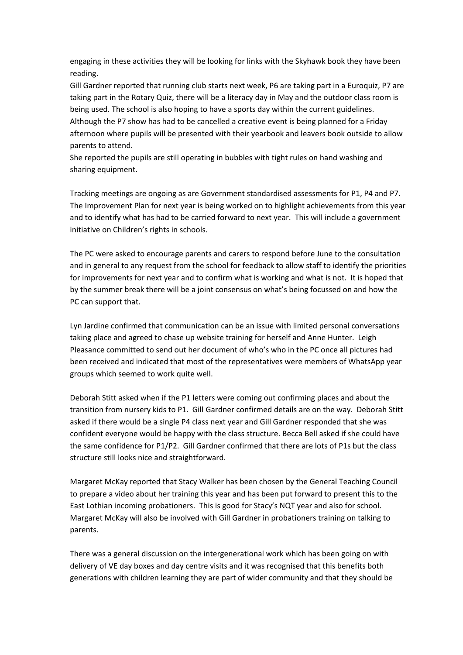engaging in these activities they will be looking for links with the Skyhawk book they have been reading.

Gill Gardner reported that running club starts next week, P6 are taking part in a Euroquiz, P7 are taking part in the Rotary Quiz, there will be a literacy day in May and the outdoor class room is being used. The school is also hoping to have a sports day within the current guidelines. Although the P7 show has had to be cancelled a creative event is being planned for a Friday afternoon where pupils will be presented with their yearbook and leavers book outside to allow parents to attend.

She reported the pupils are still operating in bubbles with tight rules on hand washing and sharing equipment.

Tracking meetings are ongoing as are Government standardised assessments for P1, P4 and P7. The Improvement Plan for next year is being worked on to highlight achievements from this year and to identify what has had to be carried forward to next year. This will include a government initiative on Children's rights in schools.

The PC were asked to encourage parents and carers to respond before June to the consultation and in general to any request from the school for feedback to allow staff to identify the priorities for improvements for next year and to confirm what is working and what is not. It is hoped that by the summer break there will be a joint consensus on what's being focussed on and how the PC can support that.

Lyn Jardine confirmed that communication can be an issue with limited personal conversations taking place and agreed to chase up website training for herself and Anne Hunter. Leigh Pleasance committed to send out her document of who's who in the PC once all pictures had been received and indicated that most of the representatives were members of WhatsApp year groups which seemed to work quite well.

Deborah Stitt asked when if the P1 letters were coming out confirming places and about the transition from nursery kids to P1. Gill Gardner confirmed details are on the way. Deborah Stitt asked if there would be a single P4 class next year and Gill Gardner responded that she was confident everyone would be happy with the class structure. Becca Bell asked if she could have the same confidence for P1/P2. Gill Gardner confirmed that there are lots of P1s but the class structure still looks nice and straightforward.

Margaret McKay reported that Stacy Walker has been chosen by the General Teaching Council to prepare a video about her training this year and has been put forward to present this to the East Lothian incoming probationers. This is good for Stacy's NQT year and also for school. Margaret McKay will also be involved with Gill Gardner in probationers training on talking to parents.

There was a general discussion on the intergenerational work which has been going on with delivery of VE day boxes and day centre visits and it was recognised that this benefits both generations with children learning they are part of wider community and that they should be